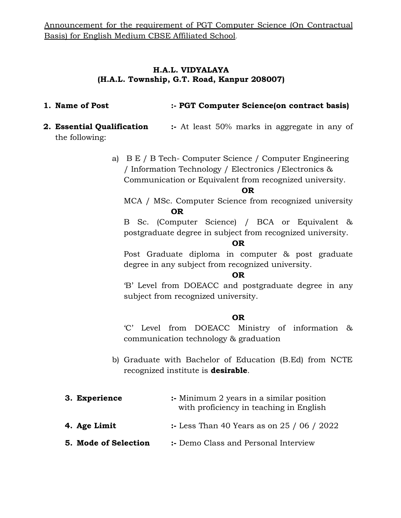## H.A.L. VIDYALAYA (H.A.L. Township, G.T. Road, Kanpur 208007)

- 1. Name of Post :- PGT Computer Science (on contract basis)
- 2. Essential Qualification :- At least 50% marks in aggregate in any of the following:
	- a) B E / B Tech- Computer Science / Computer Engineering / Information Technology / Electronics /Electronics & Communication or Equivalent from recognized university.

#### OR

MCA / MSc. Computer Science from recognized university OR

B Sc. (Computer Science) / BCA or Equivalent & postgraduate degree in subject from recognized university.

#### OR

Post Graduate diploma in computer & post graduate degree in any subject from recognized university.

#### OR

'B' Level from DOEACC and postgraduate degree in any subject from recognized university.

#### OR

'C' Level from DOEACC Ministry of information & communication technology & graduation

b) Graduate with Bachelor of Education (B.Ed) from NCTE recognized institute is **desirable**.

| 3. Experience        | :- Minimum 2 years in a similar position<br>with proficiency in teaching in English |
|----------------------|-------------------------------------------------------------------------------------|
| 4. Age Limit         | :- Less Than 40 Years as on 25 / 06 / 2022                                          |
| 5. Mode of Selection | :- Demo Class and Personal Interview                                                |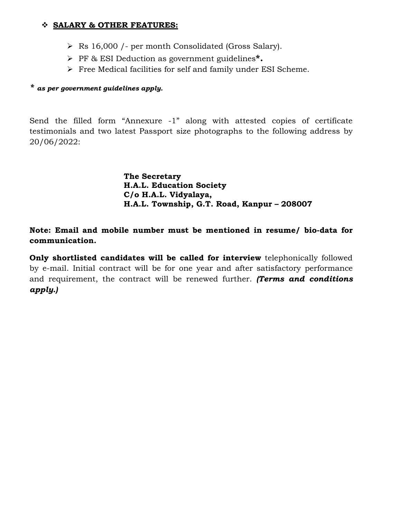#### SALARY & OTHER FEATURES:

- Rs 16,000 /- per month Consolidated (Gross Salary).
- > PF & ESI Deduction as government guidelines\*.
- Free Medical facilities for self and family under ESI Scheme.

#### \* as per government guidelines apply.

Send the filled form "Annexure -1" along with attested copies of certificate testimonials and two latest Passport size photographs to the following address by 20/06/2022:

> The Secretary H.A.L. Education Society C/o H.A.L. Vidyalaya, H.A.L. Township, G.T. Road, Kanpur – 208007

Note: Email and mobile number must be mentioned in resume/ bio-data for communication.

Only shortlisted candidates will be called for interview telephonically followed by e-mail. Initial contract will be for one year and after satisfactory performance and requirement, the contract will be renewed further. (Terms and conditions apply.)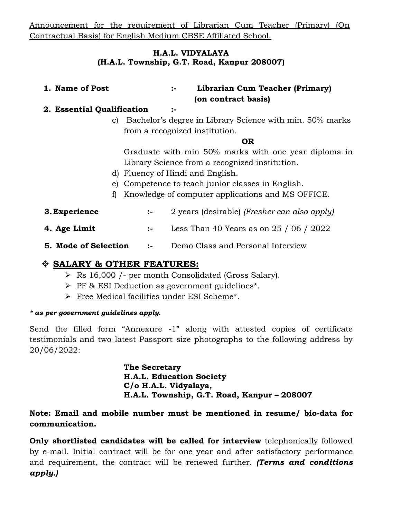Announcement for the requirement of Librarian Cum Teacher (Primary) (On Contractual Basis) for English Medium CBSE Affiliated School.

#### H.A.L. VIDYALAYA (H.A.L. Township, G.T. Road, Kanpur 208007)

1. Name of Post :- Librarian Cum Teacher (Primary) (on contract basis)

#### 2. Essential Qualification :-

c) Bachelor's degree in Library Science with min. 50% marks from a recognized institution.

#### OR

Graduate with min 50% marks with one year diploma in Library Science from a recognized institution.

- d) Fluency of Hindi and English.
- e) Competence to teach junior classes in English.
- f) Knowledge of computer applications and MS OFFICE.
- **3. Experience** :- 2 years (desirable) (*Fresher can also apply*)
- **4. Age Limit** :- Less Than 40 Years as on  $25 / 06 / 2022$
- **5. Mode of Selection :-** Demo Class and Personal Interview

## SALARY & OTHER FEATURES:

- Rs 16,000 /- per month Consolidated (Gross Salary).
- > PF & ESI Deduction as government guidelines\*.
- Free Medical facilities under ESI Scheme\*.

#### \* as per government guidelines apply.

Send the filled form "Annexure -1" along with attested copies of certificate testimonials and two latest Passport size photographs to the following address by 20/06/2022:

> The Secretary H.A.L. Education Society C/o H.A.L. Vidyalaya, H.A.L. Township, G.T. Road, Kanpur – 208007

## Note: Email and mobile number must be mentioned in resume/ bio-data for communication.

Only shortlisted candidates will be called for interview telephonically followed by e-mail. Initial contract will be for one year and after satisfactory performance and requirement, the contract will be renewed further. (Terms and conditions apply.)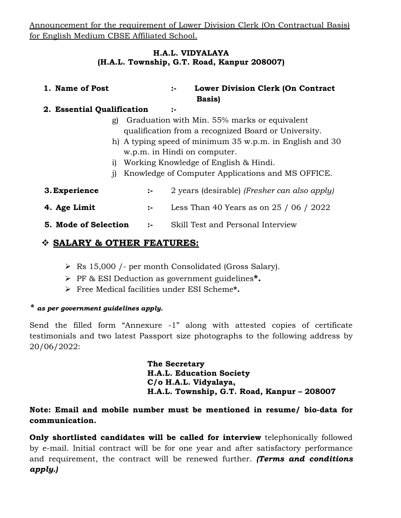Announcement for the requirement of Lower Division Clerk (On Contractual Basis) for English Medium CBSE Affiliated School.

#### H.A.L. VIDYALAYA (H.A.L. Township, G.T. Road, Kanpur 208007)

## 1. Name of Post :- Lower Division Clerk (On Contract Basis)

## 2. Essential Qualification :-

- g) Graduation with Min. 55% marks or equivalent qualification from a recognized Board or University.
- h) A typing speed of minimum 35 w.p.m. in English and 30 w.p.m. in Hindi on computer.
- i) Working Knowledge of English & Hindi.
- j) Knowledge of Computer Applications and MS OFFICE.
- **3. Experience** :- 2 years (desirable) (*Fresher can also apply*) **4. Age Limit** :- Less Than 40 Years as on  $25 / 06 / 2022$
- **5. Mode of Selection :-** Skill Test and Personal Interview

## SALARY & OTHER FEATURES:

- Rs 15,000 /- per month Consolidated (Gross Salary).
- > PF & ESI Deduction as government guidelines\*.
- Free Medical facilities under ESI Scheme\*.

## \* as per government guidelines apply.

Send the filled form "Annexure -1" along with attested copies of certificate testimonials and two latest Passport size photographs to the following address by 20/06/2022:

> The Secretary H.A.L. Education Society C/o H.A.L. Vidyalaya, H.A.L. Township, G.T. Road, Kanpur – 208007

## Note: Email and mobile number must be mentioned in resume/ bio-data for communication.

Only shortlisted candidates will be called for interview telephonically followed by e-mail. Initial contract will be for one year and after satisfactory performance and requirement, the contract will be renewed further. (Terms and conditions apply.)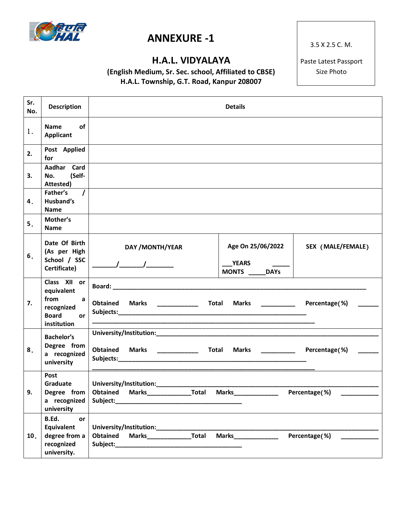

# ANNEXURE -1

# H.A.L. VIDYALAYA

(English Medium, Sr. Sec. school, Affiliated to CBSE) H.A.L. Township, G.T. Road, Kanpur 208007

3.5 X 2.5 C. M.

Paste Latest Passport Size Photo

| Sr.<br>No.     | <b>Description</b>                                                                                           |                                                                                                                                                                                                                                                                                                                                                                                                                                                     | <b>Details</b>                                  |                           |
|----------------|--------------------------------------------------------------------------------------------------------------|-----------------------------------------------------------------------------------------------------------------------------------------------------------------------------------------------------------------------------------------------------------------------------------------------------------------------------------------------------------------------------------------------------------------------------------------------------|-------------------------------------------------|---------------------------|
| 1.             | <b>Name</b><br><b>of</b><br>Applicant                                                                        |                                                                                                                                                                                                                                                                                                                                                                                                                                                     |                                                 |                           |
| 2.             | Post Applied<br>for                                                                                          |                                                                                                                                                                                                                                                                                                                                                                                                                                                     |                                                 |                           |
| 3.             | Aadhar Card<br>(Self-<br>No.<br>Attested)                                                                    |                                                                                                                                                                                                                                                                                                                                                                                                                                                     |                                                 |                           |
| 4 <sub>1</sub> | $\prime$<br>Father's<br>Husband's<br><b>Name</b>                                                             |                                                                                                                                                                                                                                                                                                                                                                                                                                                     |                                                 |                           |
| 5 <sub>1</sub> | Mother's<br><b>Name</b>                                                                                      |                                                                                                                                                                                                                                                                                                                                                                                                                                                     |                                                 |                           |
| 6.             | Date Of Birth<br>(As per High<br>School / SSC<br>Certificate)                                                | DAY / MONTH/YEAR<br>$\frac{1}{\sqrt{1-\frac{1}{2}}}\frac{1}{\sqrt{1-\frac{1}{2}}}\frac{1}{\sqrt{1-\frac{1}{2}}}\frac{1}{\sqrt{1-\frac{1}{2}}}\frac{1}{\sqrt{1-\frac{1}{2}}}\frac{1}{\sqrt{1-\frac{1}{2}}}\frac{1}{\sqrt{1-\frac{1}{2}}}\frac{1}{\sqrt{1-\frac{1}{2}}}\frac{1}{\sqrt{1-\frac{1}{2}}}\frac{1}{\sqrt{1-\frac{1}{2}}}\frac{1}{\sqrt{1-\frac{1}{2}}}\frac{1}{\sqrt{1-\frac{1}{2}}}\frac{1}{\sqrt{1-\frac{1}{2}}}\frac{1}{\sqrt{1-\frac{$ | Age On 25/06/2022<br><b>YEARS</b><br>MONTS DAYS | SEX (MALE/FEMALE)         |
| 7.             | Class XII or<br>equivalent<br>from<br>$\mathsf{a}$<br>recognized<br><b>Board</b><br><b>or</b><br>institution | Obtained Marks ______________ Total                                                                                                                                                                                                                                                                                                                                                                                                                 | Marks ___________ Percentage(%)                 |                           |
| 8.             | <b>Bachelor's</b><br>Degree from<br>a recognized<br>university                                               | <b>Obtained</b><br><b>Marks</b> ______________                                                                                                                                                                                                                                                                                                                                                                                                      | Total<br>Marks __________ Percentage(%)         |                           |
| 9.             | Post<br>Degree from<br>a recognized<br>university                                                            | Graduate   University/Institution:<br>Obtained Marks <b>Total Marks</b> Total Marks                                                                                                                                                                                                                                                                                                                                                                 |                                                 | Percentage(%) ___________ |
| 10.            | B.Ed.<br>or<br>Equivalent<br>degree from a<br>recognized<br>university.                                      | University/Institution: University/Institution:<br>Marks_________________Total<br>Obtained                                                                                                                                                                                                                                                                                                                                                          | Marks <b>on and Marks</b>                       | Percentage(%)             |